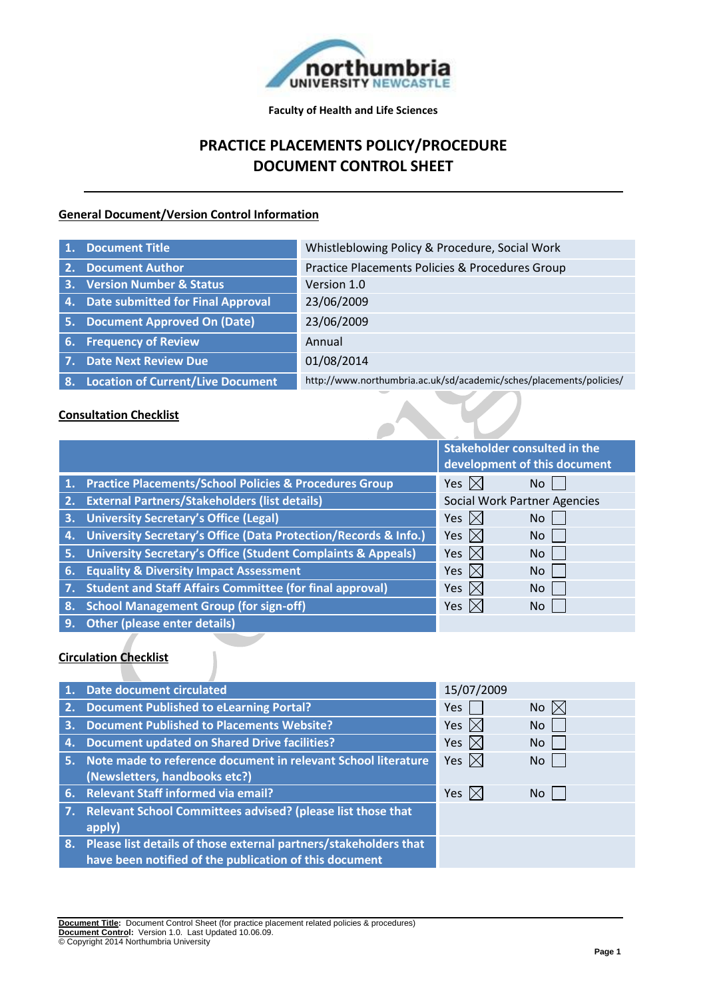

**Faculty of Health and Life Sciences**

# **PRACTICE PLACEMENTS POLICY/PROCEDURE DOCUMENT CONTROL SHEET**

# **General Document/Version Control Information**

|                | 1. Document Title                        | Whistleblowing Policy & Procedure, Social Work                      |
|----------------|------------------------------------------|---------------------------------------------------------------------|
| 2.             | <b>Document Author</b>                   | Practice Placements Policies & Procedures Group                     |
|                | 3. Version Number & Status               | Version 1.0                                                         |
| $\mathbf{4}$ . | <b>Date submitted for Final Approval</b> | 23/06/2009                                                          |
| 5.             | <b>Document Approved On (Date)</b>       | 23/06/2009                                                          |
| 6.             | <b>Frequency of Review</b>               | Annual                                                              |
|                | 7. Date Next Review Due                  | 01/08/2014                                                          |
| 8.             | <b>Location of Current/Live Document</b> | http://www.northumbria.ac.uk/sd/academic/sches/placements/policies/ |

### **Consultation Checklist**

|    |                                                                         | <b>Stakeholder consulted in the</b> |     |  |
|----|-------------------------------------------------------------------------|-------------------------------------|-----|--|
|    |                                                                         | development of this document        |     |  |
|    | 1. Practice Placements/School Policies & Procedures Group               | Yes $\boxtimes$                     | No  |  |
| 2. | <b>External Partners/Stakeholders (list details)</b>                    | <b>Social Work Partner Agencies</b> |     |  |
| 3. | <b>University Secretary's Office (Legal)</b>                            | Yes $\boxtimes$                     | No. |  |
| 4. | University Secretary's Office (Data Protection/Records & Info.)         | Yes $\boxtimes$                     | No. |  |
| 5. | <b>University Secretary's Office (Student Complaints &amp; Appeals)</b> | Yes $\boxtimes$                     | No. |  |
| 6. | <b>Equality &amp; Diversity Impact Assessment</b>                       | Yes $\boxtimes$                     | No  |  |
| 7. | <b>Student and Staff Affairs Committee (for final approval)</b>         | Yes $\boxtimes$                     | No  |  |
| 8. | <b>School Management Group (for sign-off)</b>                           | Yes $ \times $                      | No. |  |
| 9. | <b>Other (please enter details)</b>                                     |                                     |     |  |

# **Circulation Checklist**

|    | <b>Date document circulated</b>                                     | 15/07/2009      |                |
|----|---------------------------------------------------------------------|-----------------|----------------|
|    | 2. Document Published to eLearning Portal?                          | Yes             | No $\boxtimes$ |
| 3. | <b>Document Published to Placements Website?</b>                    | Yes $\boxtimes$ | <b>No</b>      |
| 4. | <b>Document updated on Shared Drive facilities?</b>                 | Yes $\boxtimes$ | No             |
|    | 5. Note made to reference document in relevant School literature    | Yes $\boxtimes$ | No l           |
|    | (Newsletters, handbooks etc?)                                       |                 |                |
|    | 6. Relevant Staff informed via email?                               | Yes $\boxtimes$ | <b>No</b>      |
|    | 7. Relevant School Committees advised? (please list those that      |                 |                |
|    | apply)                                                              |                 |                |
|    | 8. Please list details of those external partners/stakeholders that |                 |                |
|    | have been notified of the publication of this document              |                 |                |

**Document Title:** Document Control Sheet (for practice placement related policies & procedures) **Document Control:** Version 1.0. Last Updated 10.06.09. © Copyright 2014 Northumbria University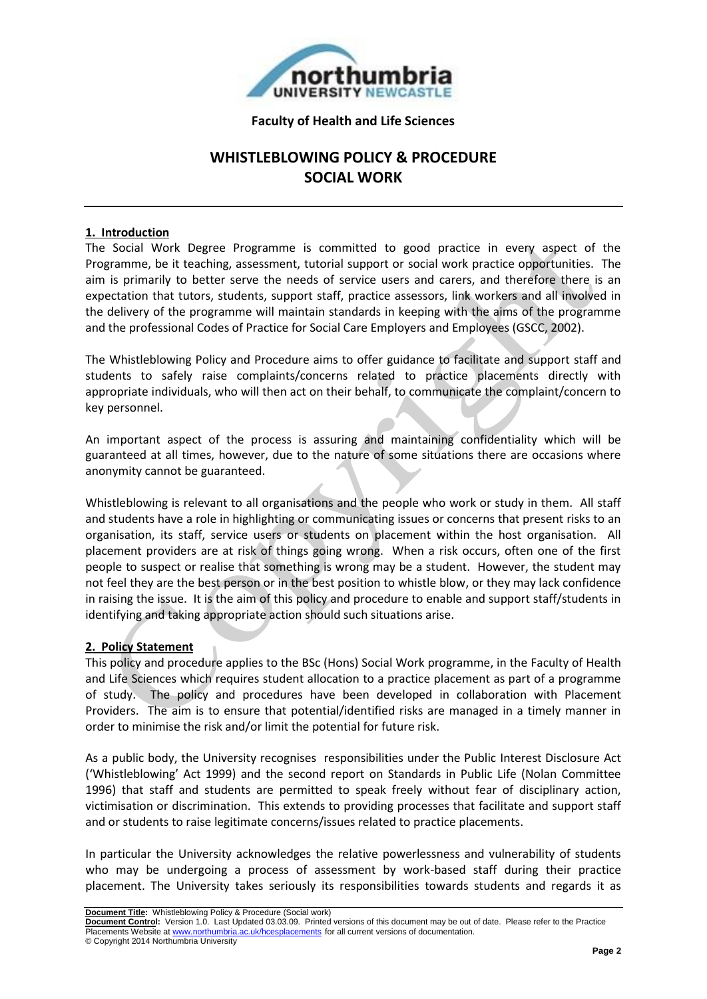

#### **Faculty of Health and Life Sciences**

# **WHISTLEBLOWING POLICY & PROCEDURE SOCIAL WORK**

### **1. Introduction**

The Social Work Degree Programme is committed to good practice in every aspect of the Programme, be it teaching, assessment, tutorial support or social work practice opportunities. The aim is primarily to better serve the needs of service users and carers, and therefore there is an expectation that tutors, students, support staff, practice assessors, link workers and all involved in the delivery of the programme will maintain standards in keeping with the aims of the programme and the professional Codes of Practice for Social Care Employers and Employees (GSCC, 2002).

The Whistleblowing Policy and Procedure aims to offer guidance to facilitate and support staff and students to safely raise complaints/concerns related to practice placements directly with appropriate individuals, who will then act on their behalf, to communicate the complaint/concern to key personnel.

An important aspect of the process is assuring and maintaining confidentiality which will be guaranteed at all times, however, due to the nature of some situations there are occasions where anonymity cannot be guaranteed.

Whistleblowing is relevant to all organisations and the people who work or study in them. All staff and students have a role in highlighting or communicating issues or concerns that present risks to an organisation, its staff, service users or students on placement within the host organisation. All placement providers are at risk of things going wrong. When a risk occurs, often one of the first people to suspect or realise that something is wrong may be a student. However, the student may not feel they are the best person or in the best position to whistle blow, or they may lack confidence in raising the issue. It is the aim of this policy and procedure to enable and support staff/students in identifying and taking appropriate action should such situations arise.

#### **2. Policy Statement**

This policy and procedure applies to the BSc (Hons) Social Work programme, in the Faculty of Health and Life Sciences which requires student allocation to a practice placement as part of a programme of study. The policy and procedures have been developed in collaboration with Placement Providers. The aim is to ensure that potential/identified risks are managed in a timely manner in order to minimise the risk and/or limit the potential for future risk.

As a public body, the University recognises responsibilities under the Public Interest Disclosure Act ('Whistleblowing' Act 1999) and the second report on Standards in Public Life (Nolan Committee 1996) that staff and students are permitted to speak freely without fear of disciplinary action, victimisation or discrimination. This extends to providing processes that facilitate and support staff and or students to raise legitimate concerns/issues related to practice placements.

In particular the University acknowledges the relative powerlessness and vulnerability of students who may be undergoing a process of assessment by work-based staff during their practice placement. The University takes seriously its responsibilities towards students and regards it as

**Document Title:** Whistleblowing Policy & Procedure (Social work)

**Document Control:** Version 1.0. Last Updated 03.03.09. Printed versions of this document may be out of date. Please refer to the Practice Placements Website at www.northumbria.ac.uk/hcesplacements for all current versions of documentation. © Copyright 2014 Northumbria University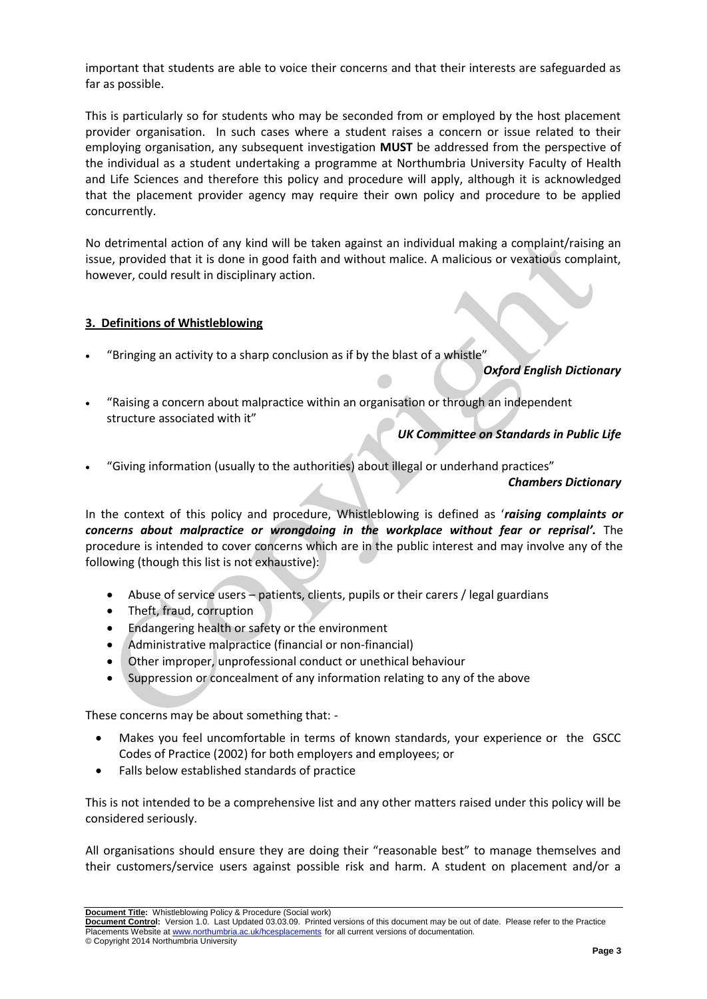important that students are able to voice their concerns and that their interests are safeguarded as far as possible.

This is particularly so for students who may be seconded from or employed by the host placement provider organisation. In such cases where a student raises a concern or issue related to their employing organisation, any subsequent investigation **MUST** be addressed from the perspective of the individual as a student undertaking a programme at Northumbria University Faculty of Health and Life Sciences and therefore this policy and procedure will apply, although it is acknowledged that the placement provider agency may require their own policy and procedure to be applied concurrently.

No detrimental action of any kind will be taken against an individual making a complaint/raising an issue, provided that it is done in good faith and without malice. A malicious or vexatious complaint, however, could result in disciplinary action.

#### **3. Definitions of Whistleblowing**

"Bringing an activity to a sharp conclusion as if by the blast of a whistle"

#### *Oxford English Dictionary*

 "Raising a concern about malpractice within an organisation or through an independent structure associated with it"

# *UK Committee on Standards in Public Life*

"Giving information (usually to the authorities) about illegal or underhand practices"

#### *Chambers Dictionary*

In the context of this policy and procedure, Whistleblowing is defined as '*raising complaints or concerns about malpractice or wrongdoing in the workplace without fear or reprisal'.* The procedure is intended to cover concerns which are in the public interest and may involve any of the following (though this list is not exhaustive):

- Abuse of service users patients, clients, pupils or their carers / legal guardians
- Theft, fraud, corruption
- Endangering health or safety or the environment
- Administrative malpractice (financial or non-financial)
- Other improper, unprofessional conduct or unethical behaviour
- Suppression or concealment of any information relating to any of the above

These concerns may be about something that: -

- Makes you feel uncomfortable in terms of known standards, your experience or the GSCC Codes of Practice (2002) for both employers and employees; or
- Falls below established standards of practice

This is not intended to be a comprehensive list and any other matters raised under this policy will be considered seriously.

All organisations should ensure they are doing their "reasonable best" to manage themselves and their customers/service users against possible risk and harm. A student on placement and/or a

**Document Title:** Whistleblowing Policy & Procedure (Social work)

**Document Control:** Version 1.0. Last Updated 03.03.09. Printed versions of this document may be out of date. Please refer to the Practice Placements Website at www.northumbria.ac.uk/hcesplacements for all current versions of documentation. © Copyright 2014 Northumbria University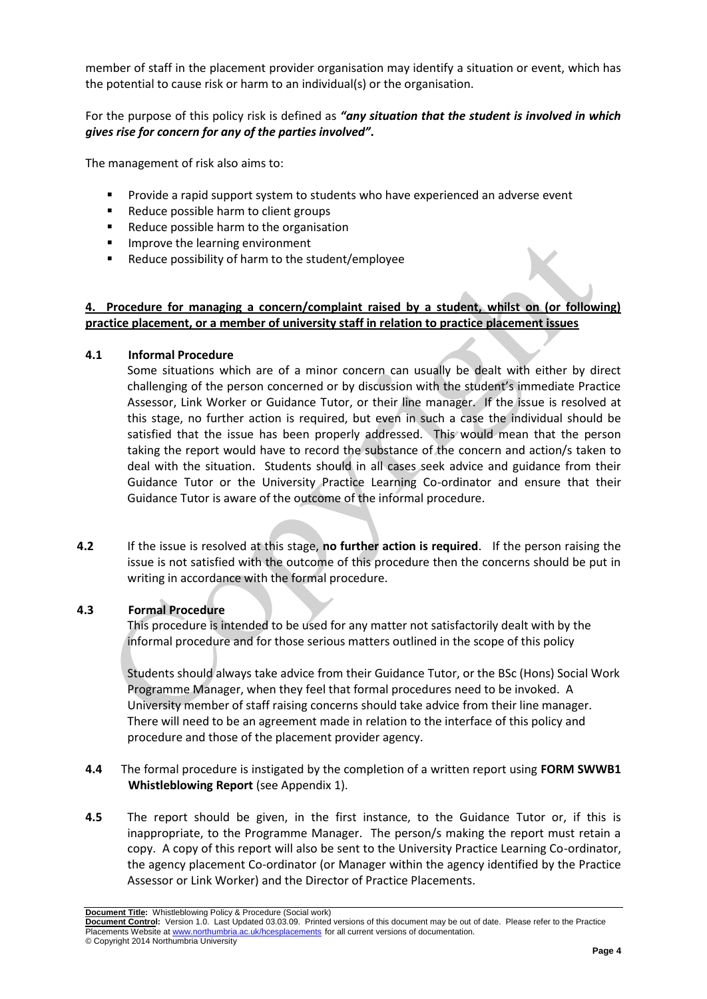member of staff in the placement provider organisation may identify a situation or event, which has the potential to cause risk or harm to an individual(s) or the organisation.

For the purpose of this policy risk is defined as *"any situation that the student is involved in which gives rise for concern for any of the parties involved"***.**

The management of risk also aims to:

- **Provide a rapid support system to students who have experienced an adverse event**
- Reduce possible harm to client groups
- Reduce possible harm to the organisation
- **IMPROVE the learning environment**
- Reduce possibility of harm to the student/employee

# **4. Procedure for managing a concern/complaint raised by a student, whilst on (or following) practice placement, or a member of university staff in relation to practice placement issues**

#### **4.1 Informal Procedure**

Some situations which are of a minor concern can usually be dealt with either by direct challenging of the person concerned or by discussion with the student's immediate Practice Assessor, Link Worker or Guidance Tutor, or their line manager. If the issue is resolved at this stage, no further action is required, but even in such a case the individual should be satisfied that the issue has been properly addressed. This would mean that the person taking the report would have to record the substance of the concern and action/s taken to deal with the situation. Students should in all cases seek advice and guidance from their Guidance Tutor or the University Practice Learning Co-ordinator and ensure that their Guidance Tutor is aware of the outcome of the informal procedure.

**4.2** If the issue is resolved at this stage, **no further action is required**. If the person raising the issue is not satisfied with the outcome of this procedure then the concerns should be put in writing in accordance with the formal procedure.

#### **4.3 Formal Procedure**

This procedure is intended to be used for any matter not satisfactorily dealt with by the informal procedure and for those serious matters outlined in the scope of this policy

Students should always take advice from their Guidance Tutor, or the BSc (Hons) Social Work Programme Manager, when they feel that formal procedures need to be invoked. A University member of staff raising concerns should take advice from their line manager. There will need to be an agreement made in relation to the interface of this policy and procedure and those of the placement provider agency.

- **4.4** The formal procedure is instigated by the completion of a written report using **FORM SWWB1 Whistleblowing Report** (see Appendix 1).
- **4.5** The report should be given, in the first instance, to the Guidance Tutor or, if this is inappropriate, to the Programme Manager. The person/s making the report must retain a copy. A copy of this report will also be sent to the University Practice Learning Co-ordinator, the agency placement Co-ordinator (or Manager within the agency identified by the Practice Assessor or Link Worker) and the Director of Practice Placements.

**Document Title:** Whistleblowing Policy & Procedure (Social work)

**Document Control:** Version 1.0. Last Updated 03.03.09. Printed versions of this document may be out of date. Please refer to the Practice Placements Website at www.northumbria.ac.uk/hcesplacements for all current versions of documentation. © Copyright 2014 Northumbria University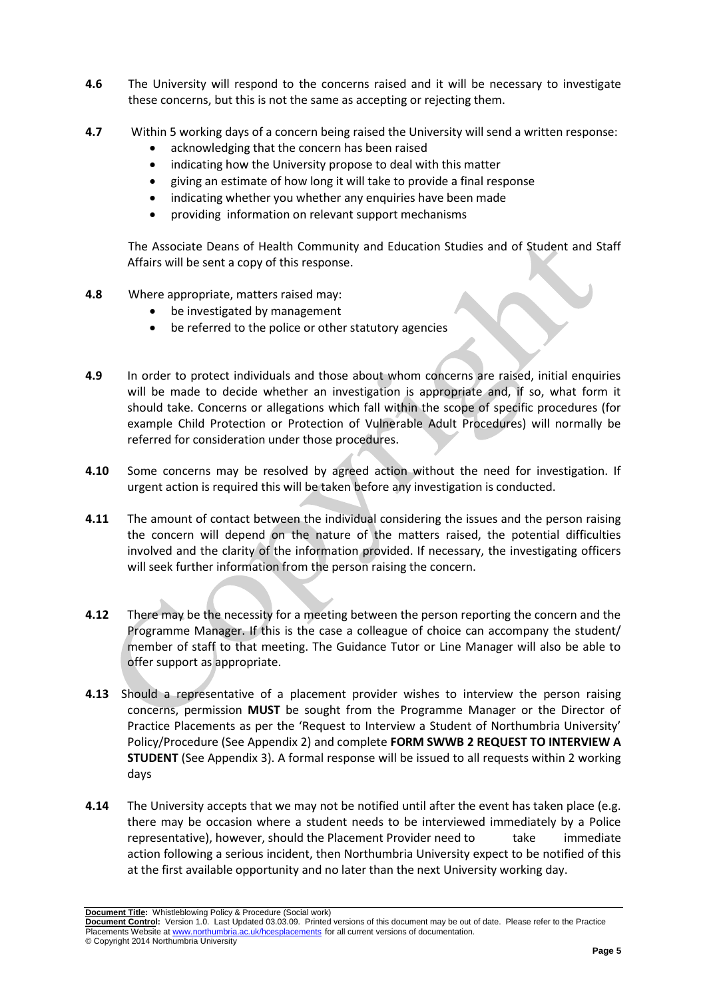- **4.6** The University will respond to the concerns raised and it will be necessary to investigate these concerns, but this is not the same as accepting or rejecting them.
- **4.7** Within 5 working days of a concern being raised the University will send a written response:
	- acknowledging that the concern has been raised
	- indicating how the University propose to deal with this matter
	- giving an estimate of how long it will take to provide a final response
	- indicating whether you whether any enquiries have been made
	- providing information on relevant support mechanisms

The Associate Deans of Health Community and Education Studies and of Student and Staff Affairs will be sent a copy of this response.

- **4.8** Where appropriate, matters raised may:
	- be investigated by management
	- be referred to the police or other statutory agencies
- **4.9** In order to protect individuals and those about whom concerns are raised, initial enquiries will be made to decide whether an investigation is appropriate and, if so, what form it should take. Concerns or allegations which fall within the scope of specific procedures (for example Child Protection or Protection of Vulnerable Adult Procedures) will normally be referred for consideration under those procedures.
- **4.10** Some concerns may be resolved by agreed action without the need for investigation. If urgent action is required this will be taken before any investigation is conducted.
- **4.11** The amount of contact between the individual considering the issues and the person raising the concern will depend on the nature of the matters raised, the potential difficulties involved and the clarity of the information provided. If necessary, the investigating officers will seek further information from the person raising the concern.
- **4.12** There may be the necessity for a meeting between the person reporting the concern and the Programme Manager. If this is the case a colleague of choice can accompany the student/ member of staff to that meeting. The Guidance Tutor or Line Manager will also be able to offer support as appropriate.
- **4.13** Should a representative of a placement provider wishes to interview the person raising concerns, permission **MUST** be sought from the Programme Manager or the Director of Practice Placements as per the 'Request to Interview a Student of Northumbria University' Policy/Procedure (See Appendix 2) and complete **FORM SWWB 2 REQUEST TO INTERVIEW A STUDENT** (See Appendix 3). A formal response will be issued to all requests within 2 working days
- **4.14** The University accepts that we may not be notified until after the event has taken place (e.g. there may be occasion where a student needs to be interviewed immediately by a Police representative), however, should the Placement Provider need to take immediate action following a serious incident, then Northumbria University expect to be notified of this at the first available opportunity and no later than the next University working day.

**Document Title:** Whistleblowing Policy & Procedure (Social work)

**Document Control:** Version 1.0. Last Updated 03.03.09. Printed versions of this document may be out of date. Please refer to the Practice Placements Website at www.northumbria.ac.uk/hcesplacements for all current versions of documentation. © Copyright 2014 Northumbria University